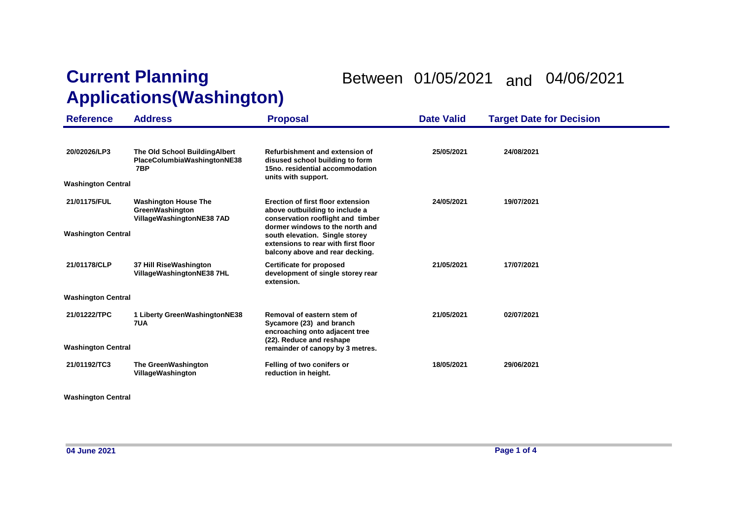## **Current Planning Applications(Washington)**

## Between 01/05/2021 and 04/06/2021

| <b>Reference</b>                          | <b>Address</b>                                                                     | <b>Proposal</b>                                                                                                                             | <b>Date Valid</b> | <b>Target Date for Decision</b> |
|-------------------------------------------|------------------------------------------------------------------------------------|---------------------------------------------------------------------------------------------------------------------------------------------|-------------------|---------------------------------|
| 20/02026/LP3<br><b>Washington Central</b> | The Old School BuildingAlbert<br>PlaceColumbiaWashingtonNE38<br>7BP                | Refurbishment and extension of<br>disused school building to form<br>15no. residential accommodation<br>units with support.                 | 25/05/2021        | 24/08/2021                      |
| 21/01175/FUL                              | <b>Washington House The</b><br><b>GreenWashington</b><br>VillageWashingtonNE38 7AD | Erection of first floor extension<br>above outbuilding to include a<br>conservation rooflight and timber<br>dormer windows to the north and | 24/05/2021        | 19/07/2021                      |
| <b>Washington Central</b>                 |                                                                                    | south elevation. Single storey<br>extensions to rear with first floor<br>balcony above and rear decking.                                    |                   |                                 |
| 21/01178/CLP                              | 37 Hill RiseWashington<br>VillageWashingtonNE38 7HL                                | <b>Certificate for proposed</b><br>development of single storey rear<br>extension.                                                          | 21/05/2021        | 17/07/2021                      |
| <b>Washington Central</b>                 |                                                                                    |                                                                                                                                             |                   |                                 |
| 21/01222/TPC                              | 1 Liberty GreenWashingtonNE38<br>7UA                                               | Removal of eastern stem of<br>Sycamore (23) and branch<br>encroaching onto adjacent tree                                                    | 21/05/2021        | 02/07/2021                      |
| <b>Washington Central</b>                 |                                                                                    | (22). Reduce and reshape<br>remainder of canopy by 3 metres.                                                                                |                   |                                 |
| 21/01192/TC3                              | The GreenWashington<br>VillageWashington                                           | Felling of two conifers or<br>reduction in height.                                                                                          | 18/05/2021        | 29/06/2021                      |

**Washington Central**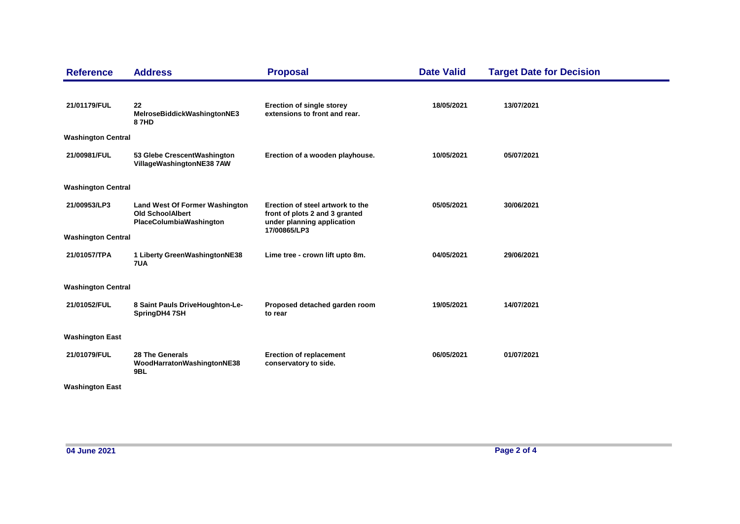| <b>Reference</b>          | <b>Address</b>                                                                              | <b>Proposal</b>                                                                                  | <b>Date Valid</b> | <b>Target Date for Decision</b> |
|---------------------------|---------------------------------------------------------------------------------------------|--------------------------------------------------------------------------------------------------|-------------------|---------------------------------|
| 21/01179/FUL              | 22<br>MelroseBiddickWashingtonNE3<br>87HD                                                   | <b>Erection of single storey</b><br>extensions to front and rear.                                | 18/05/2021        | 13/07/2021                      |
| <b>Washington Central</b> |                                                                                             |                                                                                                  |                   |                                 |
| 21/00981/FUL              | 53 Glebe CrescentWashington<br>VillageWashingtonNE38 7AW                                    | Erection of a wooden playhouse.                                                                  | 10/05/2021        | 05/07/2021                      |
| <b>Washington Central</b> |                                                                                             |                                                                                                  |                   |                                 |
| 21/00953/LP3              | <b>Land West Of Former Washington</b><br><b>Old SchoolAlbert</b><br>PlaceColumbiaWashington | Erection of steel artwork to the<br>front of plots 2 and 3 granted<br>under planning application | 05/05/2021        | 30/06/2021                      |
| <b>Washington Central</b> |                                                                                             | 17/00865/LP3                                                                                     |                   |                                 |
| 21/01057/TPA              | 1 Liberty GreenWashingtonNE38<br>7UA                                                        | Lime tree - crown lift upto 8m.                                                                  | 04/05/2021        | 29/06/2021                      |
| <b>Washington Central</b> |                                                                                             |                                                                                                  |                   |                                 |
| 21/01052/FUL              | 8 Saint Pauls DriveHoughton-Le-<br>SpringDH4 7SH                                            | Proposed detached garden room<br>to rear                                                         | 19/05/2021        | 14/07/2021                      |
| <b>Washington East</b>    |                                                                                             |                                                                                                  |                   |                                 |
| 21/01079/FUL              | 28 The Generals<br>WoodHarratonWashingtonNE38<br>9BL                                        | <b>Erection of replacement</b><br>conservatory to side.                                          | 06/05/2021        | 01/07/2021                      |
| <b>Washington East</b>    |                                                                                             |                                                                                                  |                   |                                 |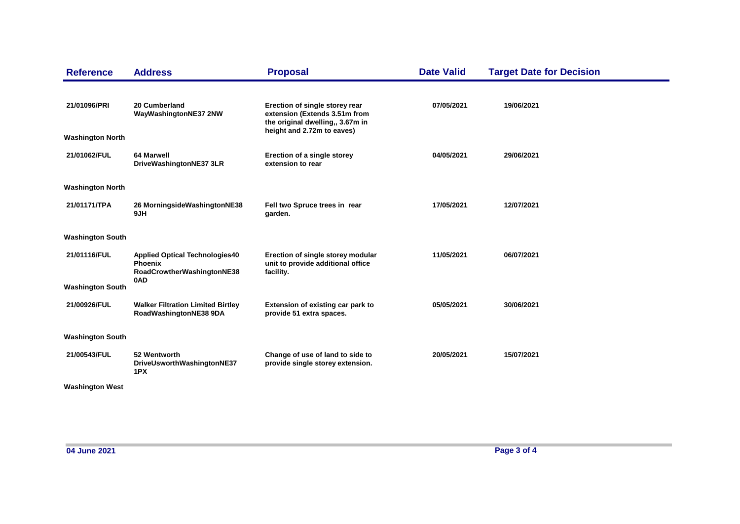| <b>Reference</b>        | <b>Address</b>                                                                        | <b>Proposal</b>                                                                                                                   | <b>Date Valid</b> | <b>Target Date for Decision</b> |
|-------------------------|---------------------------------------------------------------------------------------|-----------------------------------------------------------------------------------------------------------------------------------|-------------------|---------------------------------|
| 21/01096/PRI            | 20 Cumberland<br>WayWashingtonNE37 2NW                                                | Erection of single storey rear<br>extension (Extends 3.51m from<br>the original dwelling,, 3.67m in<br>height and 2.72m to eaves) | 07/05/2021        | 19/06/2021                      |
| <b>Washington North</b> |                                                                                       |                                                                                                                                   |                   |                                 |
| 21/01062/FUL            | 64 Marwell<br>DriveWashingtonNE37 3LR                                                 | Erection of a single storey<br>extension to rear                                                                                  | 04/05/2021        | 29/06/2021                      |
| <b>Washington North</b> |                                                                                       |                                                                                                                                   |                   |                                 |
|                         |                                                                                       |                                                                                                                                   |                   |                                 |
| 21/01171/TPA            | 26 MorningsideWashingtonNE38<br>9JH                                                   | Fell two Spruce trees in rear<br>garden.                                                                                          | 17/05/2021        | 12/07/2021                      |
| <b>Washington South</b> |                                                                                       |                                                                                                                                   |                   |                                 |
| 21/01116/FUL            | <b>Applied Optical Technologies40</b><br><b>Phoenix</b><br>RoadCrowtherWashingtonNE38 | Erection of single storey modular<br>unit to provide additional office<br>facility.                                               | 11/05/2021        | 06/07/2021                      |
| <b>Washington South</b> | 0AD                                                                                   |                                                                                                                                   |                   |                                 |
| 21/00926/FUL            | <b>Walker Filtration Limited Birtley</b><br>RoadWashingtonNE38 9DA                    | Extension of existing car park to<br>provide 51 extra spaces.                                                                     | 05/05/2021        | 30/06/2021                      |
| <b>Washington South</b> |                                                                                       |                                                                                                                                   |                   |                                 |
| 21/00543/FUL            | 52 Wentworth<br>DriveUsworthWashingtonNE37<br>1PX                                     | Change of use of land to side to<br>provide single storey extension.                                                              | 20/05/2021        | 15/07/2021                      |
| <b>Washington West</b>  |                                                                                       |                                                                                                                                   |                   |                                 |